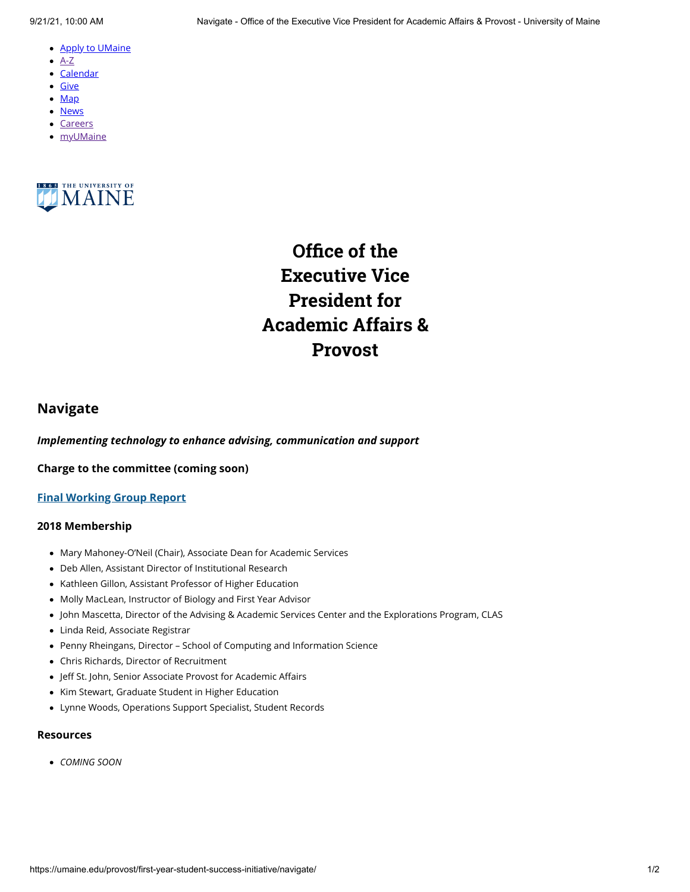- <u>[Apply to UMaine](https://go.umaine.edu/apply/)</u>
- $\bullet$  [A-Z](https://umaine.edu/directory/)
- <u>[Calendar](https://calendar.umaine.edu/)</u>
- <u>[Give](https://securelb.imodules.com/s/300/13-ORONO/foundation/index.aspx?sid=300&gid=13&pgid=748&cid=1912)</u>
- <u>[Map](https://umaine.edu/campus-map)</u>
- <u>[News](https://umaine.edu/news/)</u>
- [Careers](https://umaine.edu/hr/career-opportunities/)
- <u>[myUMaine](https://my.umaine.edu/)</u>



**Office of the Executive Vice President for Academic Affairs & Provost**

## **Navigate**

*Implementing technology to enhance advising, communication and support* 

**Charge to the committee (coming soon)**

## **[Final Working Group Report](https://umaine.edu/provost/blog/resource/navigate-pen-and-final-report/)**

## **2018 Membership**

- Mary Mahoney-O'Neil (Chair), Associate Dean for Academic Services •
- Deb Allen, Assistant Director of Institutional Research •
- Kathleen Gillon, Assistant Professor of Higher Education
- Molly MacLean, Instructor of Biology and First Year Advisor •
- John Mascetta, Director of the Advising & Academic Services Center and the Explorations Program, CLAS •
- Linda Reid, Associate Registrar •
- Penny Rheingans, Director School of Computing and Information Science •
- Chris Richards, Director of Recruitment •
- Jeff St. John, Senior Associate Provost for Academic Affairs •
- Kim Stewart, Graduate Student in Higher Education
- Lynne Woods, Operations Support Specialist, Student Records •

## **Resources**

*COMING SOON* •